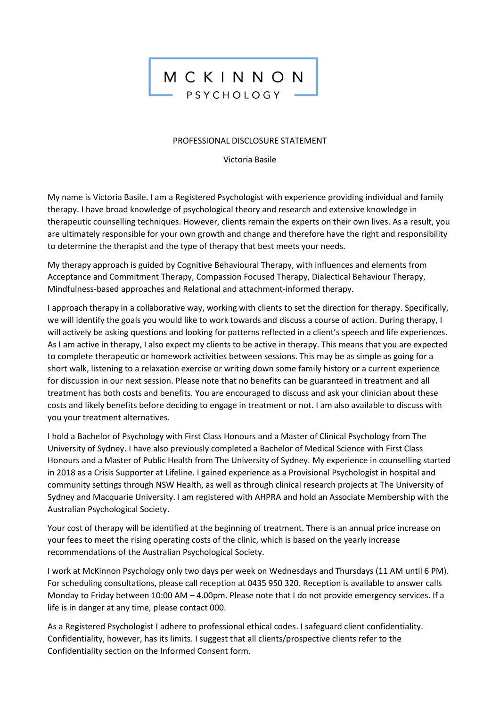## MCKINNON PSYCHOLOGY

## PROFESSIONAL DISCLOSURE STATEMENT

Victoria Basile

My name is Victoria Basile. I am a Registered Psychologist with experience providing individual and family therapy. I have broad knowledge of psychological theory and research and extensive knowledge in therapeutic counselling techniques. However, clients remain the experts on their own lives. As a result, you are ultimately responsible for your own growth and change and therefore have the right and responsibility to determine the therapist and the type of therapy that best meets your needs.

My therapy approach is guided by Cognitive Behavioural Therapy, with influences and elements from Acceptance and Commitment Therapy, Compassion Focused Therapy, Dialectical Behaviour Therapy, Mindfulness-based approaches and Relational and attachment-informed therapy.

I approach therapy in a collaborative way, working with clients to set the direction for therapy. Specifically, we will identify the goals you would like to work towards and discuss a course of action. During therapy, I will actively be asking questions and looking for patterns reflected in a client's speech and life experiences. As I am active in therapy, I also expect my clients to be active in therapy. This means that you are expected to complete therapeutic or homework activities between sessions. This may be as simple as going for a short walk, listening to a relaxation exercise or writing down some family history or a current experience for discussion in our next session. Please note that no benefits can be guaranteed in treatment and all treatment has both costs and benefits. You are encouraged to discuss and ask your clinician about these costs and likely benefits before deciding to engage in treatment or not. I am also available to discuss with you your treatment alternatives.

I hold a Bachelor of Psychology with First Class Honours and a Master of Clinical Psychology from The University of Sydney. I have also previously completed a Bachelor of Medical Science with First Class Honours and a Master of Public Health from The University of Sydney. My experience in counselling started in 2018 as a Crisis Supporter at Lifeline. I gained experience as a Provisional Psychologist in hospital and community settings through NSW Health, as well as through clinical research projects at The University of Sydney and Macquarie University. I am registered with AHPRA and hold an Associate Membership with the Australian Psychological Society.

Your cost of therapy will be identified at the beginning of treatment. There is an annual price increase on your fees to meet the rising operating costs of the clinic, which is based on the yearly increase recommendations of the Australian Psychological Society.

I work at McKinnon Psychology only two days per week on Wednesdays and Thursdays (11 AM until 6 PM). For scheduling consultations, please call reception at 0435 950 320. Reception is available to answer calls Monday to Friday between 10:00 AM – 4.00pm. Please note that I do not provide emergency services. If a life is in danger at any time, please contact 000.

As a Registered Psychologist I adhere to professional ethical codes. I safeguard client confidentiality. Confidentiality, however, has its limits. I suggest that all clients/prospective clients refer to the Confidentiality section on the Informed Consent form.